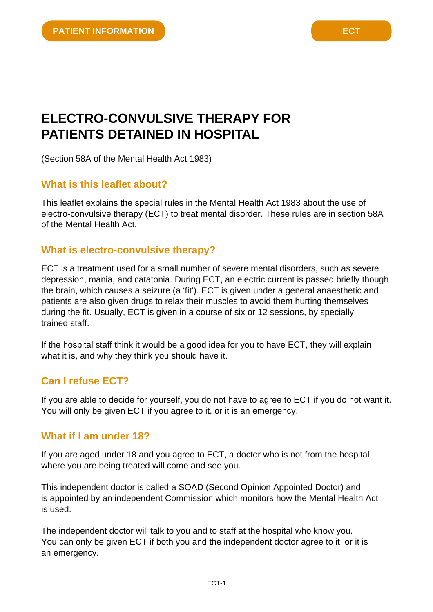# **ELECTRO-CONVULSIVE THERAPY FOR PATIENTS DETAINED IN HOSPITAL**

(Section 58A of the Mental Health Act 1983)

#### **What is this leaflet about?**

This leaflet explains the special rules in the Mental Health Act 1983 about the use of electro-convulsive therapy (ECT) to treat mental disorder. These rules are in section 58A of the Mental Health Act.

#### **What is electro-convulsive therapy?**

ECT is a treatment used for a small number of severe mental disorders, such as severe depression, mania, and catatonia. During ECT, an electric current is passed briefly though the brain, which causes a seizure (a 'fit'). ECT is given under a general anaesthetic and patients are also given drugs to relax their muscles to avoid them hurting themselves during the fit. Usually, ECT is given in a course of six or 12 sessions, by specially trained staff.

If the hospital staff think it would be a good idea for you to have ECT, they will explain what it is, and why they think you should have it.

## **Can I refuse ECT?**

If you are able to decide for yourself, you do not have to agree to ECT if you do not want it. You will only be given ECT if you agree to it, or it is an emergency.

#### **What if I am under 18?**

If you are aged under 18 and you agree to ECT, a doctor who is not from the hospital where you are being treated will come and see you.

This independent doctor is called a SOAD (Second Opinion Appointed Doctor) and is appointed by an independent Commission which monitors how the Mental Health Act is used.

The independent doctor will talk to you and to staff at the hospital who know you. You can only be given ECT if both you and the independent doctor agree to it, or it is an emergency.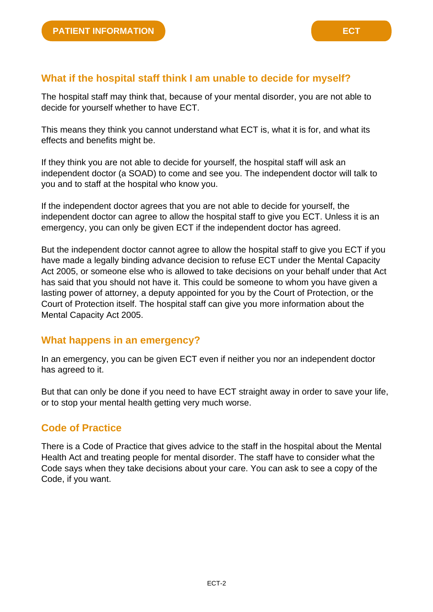The hospital staff may think that, because of your mental disorder, you are not able to decide for yourself whether to have ECT.

This means they think you cannot understand what ECT is, what it is for, and what its effects and benefits might be.

If they think you are not able to decide for yourself, the hospital staff will ask an independent doctor (a SOAD) to come and see you. The independent doctor will talk to you and to staff at the hospital who know you.

If the independent doctor agrees that you are not able to decide for yourself, the independent doctor can agree to allow the hospital staff to give you ECT. Unless it is an emergency, you can only be given ECT if the independent doctor has agreed.

But the independent doctor cannot agree to allow the hospital staff to give you ECT if you have made a legally binding advance decision to refuse ECT under the Mental Capacity Act 2005, or someone else who is allowed to take decisions on your behalf under that Act has said that you should not have it. This could be someone to whom you have given a lasting power of attorney, a deputy appointed for you by the Court of Protection, or the Court of Protection itself. The hospital staff can give you more information about the Mental Capacity Act 2005.

#### **What happens in an emergency?**

In an emergency, you can be given ECT even if neither you nor an independent doctor has agreed to it.

But that can only be done if you need to have ECT straight away in order to save your life, or to stop your mental health getting very much worse.

## **Code of Practice**

There is a Code of Practice that gives advice to the staff in the hospital about the Mental Health Act and treating people for mental disorder. The staff have to consider what the Code says when they take decisions about your care. You can ask to see a copy of the Code, if you want.